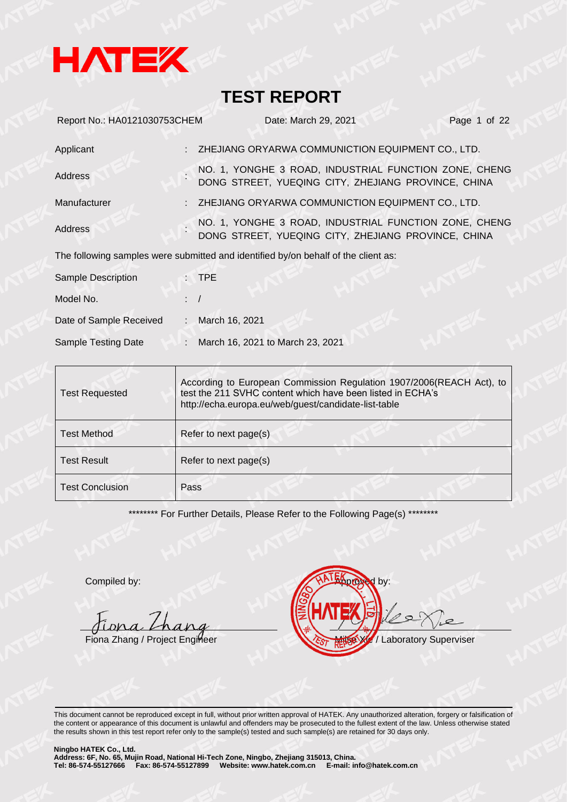

| Report No.: HA0121030753CHEM |    | Date: March 29, 2021                                                                                         | Page 1 of 22 |
|------------------------------|----|--------------------------------------------------------------------------------------------------------------|--------------|
| Applicant                    |    | ZHEJIANG ORYARWA COMMUNICTION EQUIPMENT CO., LTD.                                                            |              |
| Address                      |    | NO. 1, YONGHE 3 ROAD, INDUSTRIAL FUNCTION ZONE, CHENG<br>DONG STREET, YUEQING CITY, ZHEJIANG PROVINCE, CHINA |              |
| Manufacturer                 |    | ZHEJIANG ORYARWA COMMUNICTION EQUIPMENT CO., LTD.                                                            |              |
| Address                      |    | NO. 1, YONGHE 3 ROAD, INDUSTRIAL FUNCTION ZONE, CHENG<br>DONG STREET, YUEQING CITY, ZHEJIANG PROVINCE, CHINA |              |
|                              |    | The following samples were submitted and identified by/on behalf of the client as:                           |              |
| <b>Sample Description</b>    |    | $:$ TPE                                                                                                      |              |
| Model No.                    |    |                                                                                                              |              |
| Date of Sample Received      | ÷. | March 16, 2021                                                                                               |              |
| Sample Testing Date          | ÷. | March 16, 2021 to March 23, 2021                                                                             |              |

| <b>Test Requested</b>  | According to European Commission Regulation 1907/2006(REACH Act), to<br>test the 211 SVHC content which have been listed in ECHA's<br>http://echa.europa.eu/web/guest/candidate-list-table |  |
|------------------------|--------------------------------------------------------------------------------------------------------------------------------------------------------------------------------------------|--|
| <b>Test Method</b>     | Refer to next page(s)                                                                                                                                                                      |  |
| <b>Test Result</b>     | Refer to next page(s)                                                                                                                                                                      |  |
| <b>Test Conclusion</b> | Pass                                                                                                                                                                                       |  |

\*\*\*\*\*\*\*\*\* For Further Details, Please Refer to the Following Page(s) \*\*\*\*\*\*\*\*

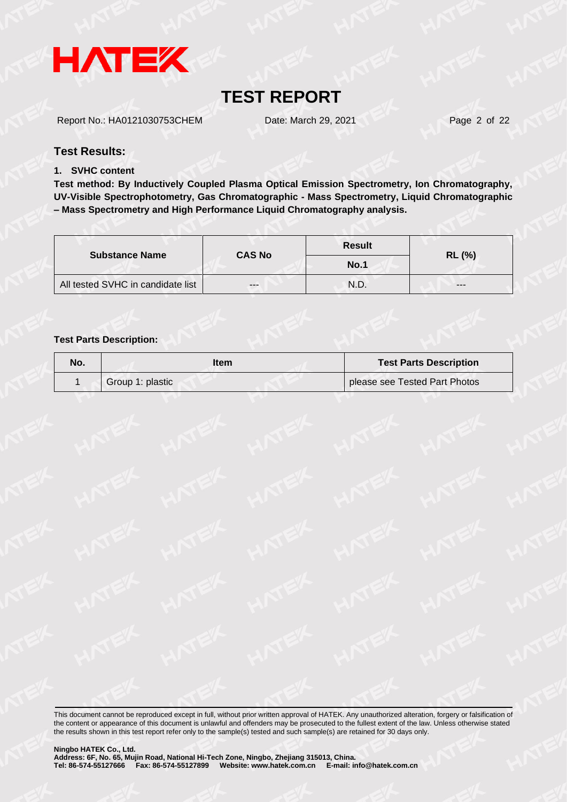

Report No.: HA0121030753CHEM Date: March 29, 2021 Page 2 of 22

#### **Test Results:**

#### **1. SVHC content**

**Test method: By Inductively Coupled Plasma Optical Emission Spectrometry, Ion Chromatography, UV-Visible Spectrophotometry, Gas Chromatographic - Mass Spectrometry, Liquid Chromatographic – Mass Spectrometry and High Performance Liquid Chromatography analysis.**

|                                   | <b>CAS No</b> | <b>Result</b> | <b>RL (%)</b> |
|-----------------------------------|---------------|---------------|---------------|
| <b>Substance Name</b>             |               | No.1          |               |
| All tested SVHC in candidate list | $- - -$       | N.D.          | ---           |

#### **Test Parts Description:**

| No. | ltem             | <b>Test Parts Description</b> |
|-----|------------------|-------------------------------|
|     | Group 1: plastic | please see Tested Part Photos |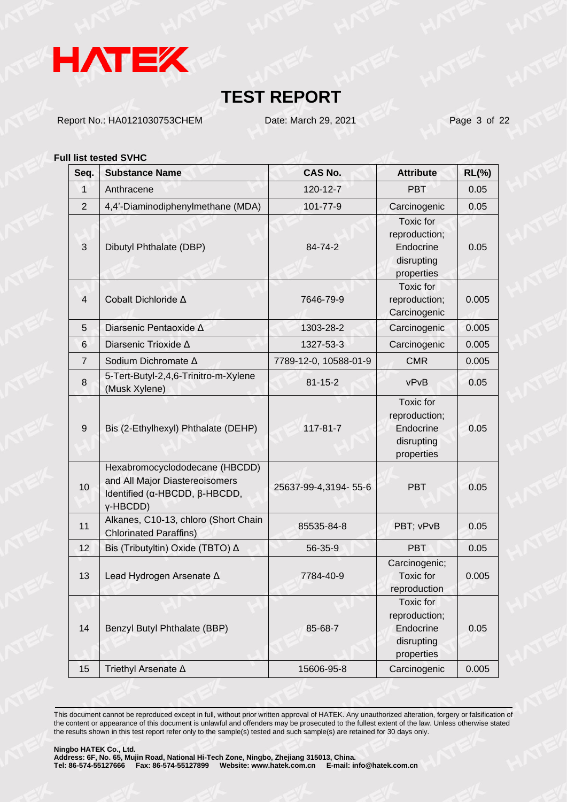

Report No.: HA0121030753CHEM Date: March 29, 2021 Page 3 of 22

#### **Full list tested SVHC**

| Seq.            | <b>Substance Name</b>                                                                                                         | <b>CAS No.</b>        | <b>Attribute</b>                                                           | <b>RL(%)</b> |
|-----------------|-------------------------------------------------------------------------------------------------------------------------------|-----------------------|----------------------------------------------------------------------------|--------------|
| $\mathbf{1}$    | Anthracene                                                                                                                    | 120-12-7              | <b>PBT</b>                                                                 | 0.05         |
| 2               | 4,4'-Diaminodiphenylmethane (MDA)                                                                                             | 101-77-9              | Carcinogenic                                                               | 0.05         |
| 3               | Dibutyl Phthalate (DBP)                                                                                                       | 84-74-2               | <b>Toxic</b> for<br>reproduction;<br>Endocrine<br>disrupting<br>properties | 0.05         |
| $\overline{4}$  | Cobalt Dichloride ∆                                                                                                           | 7646-79-9             | Toxic for<br>reproduction;<br>Carcinogenic                                 | 0.005        |
| 5               | Diarsenic Pentaoxide Δ                                                                                                        | 1303-28-2             | Carcinogenic                                                               | 0.005        |
| $6\phantom{1}6$ | Diarsenic Trioxide A                                                                                                          | 1327-53-3             | Carcinogenic                                                               | 0.005        |
| $\overline{7}$  | Sodium Dichromate ∆                                                                                                           | 7789-12-0, 10588-01-9 | <b>CMR</b>                                                                 | 0.005        |
| 8               | 5-Tert-Butyl-2,4,6-Trinitro-m-Xylene<br>(Musk Xylene)                                                                         | $81 - 15 - 2$         | vPvB                                                                       | 0.05         |
| 9               | Bis (2-Ethylhexyl) Phthalate (DEHP)                                                                                           | $117 - 81 - 7$        | <b>Toxic</b> for<br>reproduction;<br>Endocrine<br>disrupting<br>properties | 0.05         |
| 10              | Hexabromocyclododecane (HBCDD)<br>and All Major Diastereoisomers<br>Identified ( $\alpha$ -HBCDD, $\beta$ -HBCDD,<br>y-HBCDD) | 25637-99-4,3194-55-6  | <b>PBT</b>                                                                 | 0.05         |
| 11              | Alkanes, C10-13, chloro (Short Chain<br><b>Chlorinated Paraffins)</b>                                                         | 85535-84-8            | PBT; vPvB                                                                  | 0.05         |
| 12              | Bis (Tributyltin) Oxide (TBTO) ∆                                                                                              | 56-35-9               | PBT.                                                                       | 0.05         |
| 13              | Lead Hydrogen Arsenate A                                                                                                      | 7784-40-9             | Carcinogenic;<br><b>Toxic</b> for<br>reproduction                          | 0.005        |
| 14              | Benzyl Butyl Phthalate (BBP)                                                                                                  | 85-68-7               | Toxic for<br>reproduction;<br>Endocrine<br>disrupting<br>properties        | 0.05         |
| 15              | Triethyl Arsenate ∆                                                                                                           | 15606-95-8            | Carcinogenic                                                               | 0.005        |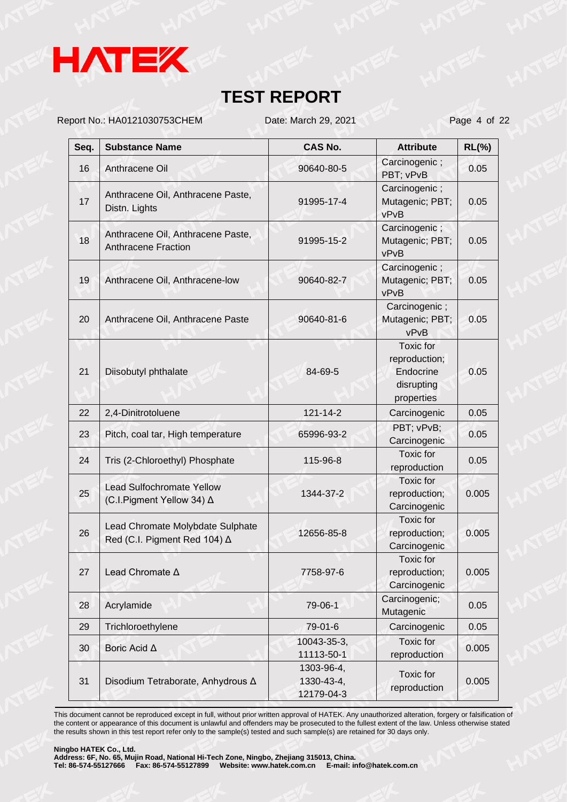

Report No.: HA0121030753CHEM Date: March 29, 2021 Page 4 of 22

| Seq. | <b>Substance Name</b>                                            | <b>CAS No.</b>                         | <b>Attribute</b>                                                           | $RL(\%)$ |
|------|------------------------------------------------------------------|----------------------------------------|----------------------------------------------------------------------------|----------|
| 16   | Anthracene Oil                                                   | 90640-80-5                             | Carcinogenic;<br>PBT; vPvB                                                 | 0.05     |
| 17   | Anthracene Oil, Anthracene Paste,<br>Distn. Lights               | 91995-17-4                             | Carcinogenic;<br>Mutagenic; PBT;<br>vPvB                                   | 0.05     |
| 18   | Anthracene Oil, Anthracene Paste,<br><b>Anthracene Fraction</b>  | 91995-15-2                             | Carcinogenic;<br>Mutagenic; PBT;<br>vPvB                                   | 0.05     |
| 19   | Anthracene Oil, Anthracene-low                                   | 90640-82-7                             | Carcinogenic;<br>Mutagenic; PBT;<br>vPvB                                   | 0.05     |
| 20   | Anthracene Oil, Anthracene Paste                                 | 90640-81-6                             | Carcinogenic;<br>Mutagenic; PBT;<br>vPvB                                   | 0.05     |
| 21   | Diisobutyl phthalate                                             | 84-69-5                                | <b>Toxic</b> for<br>reproduction;<br>Endocrine<br>disrupting<br>properties | 0.05     |
| 22   | 2,4-Dinitrotoluene                                               | 121-14-2                               | Carcinogenic                                                               | 0.05     |
| 23   | Pitch, coal tar, High temperature                                | 65996-93-2                             | PBT; vPvB;<br>Carcinogenic                                                 | 0.05     |
| 24   | Tris (2-Chloroethyl) Phosphate                                   | 115-96-8                               | <b>Toxic</b> for<br>reproduction                                           | 0.05     |
| 25   | <b>Lead Sulfochromate Yellow</b><br>(C.I.Pigment Yellow 34) ∆    | 1344-37-2                              | Toxic for<br>reproduction;<br>Carcinogenic                                 | 0.005    |
| 26   | Lead Chromate Molybdate Sulphate<br>Red (C.I. Pigment Red 104) △ | 12656-85-8                             | Toxic for<br>reproduction;<br>Carcinogenic                                 | 0.005    |
| 27   | Lead Chromate A                                                  | 7758-97-6                              | Toxic for<br>reproduction;<br>Carcinogenic                                 | 0.005    |
| 28   | Acrylamide                                                       | 79-06-1                                | Carcinogenic;<br>Mutagenic                                                 | 0.05     |
| 29   | Trichloroethylene                                                | 79-01-6                                | Carcinogenic                                                               | 0.05     |
| 30   | Boric Acid ∆                                                     | 10043-35-3,<br>11113-50-1              | Toxic for<br>reproduction                                                  | 0.005    |
| 31   | Disodium Tetraborate, Anhydrous ∆                                | 1303-96-4,<br>1330-43-4,<br>12179-04-3 | Toxic for<br>reproduction                                                  | 0.005    |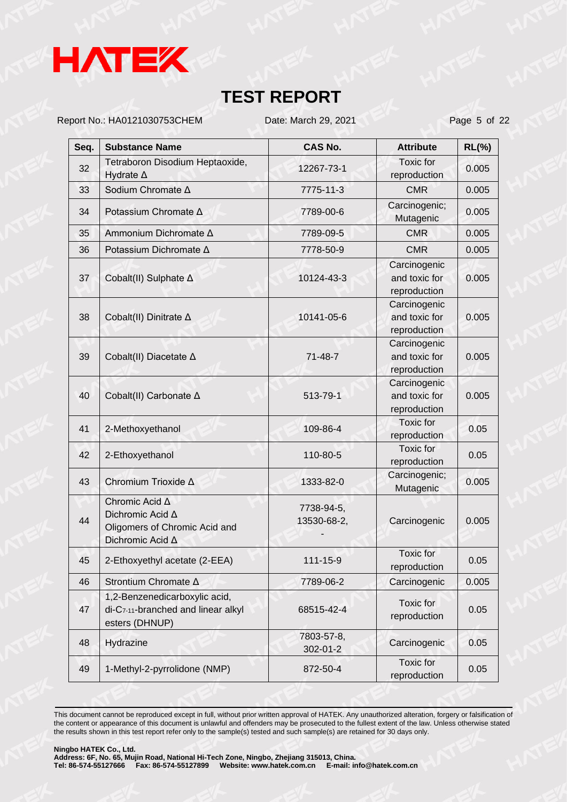

Report No.: HA0121030753CHEM Date: March 29, 2021 Page 5 of 22

| Seq. | <b>Substance Name</b>                                                                   | <b>CAS No.</b>            | <b>Attribute</b>                              | <b>RL(%)</b> |
|------|-----------------------------------------------------------------------------------------|---------------------------|-----------------------------------------------|--------------|
| 32   | Tetraboron Disodium Heptaoxide,<br>Hydrate $\Delta$                                     | 12267-73-1                | Toxic for<br>reproduction                     | 0.005        |
| 33   | Sodium Chromate ∆                                                                       | 7775-11-3                 | <b>CMR</b>                                    | 0.005        |
| 34   | Potassium Chromate ∆                                                                    | 7789-00-6                 | Carcinogenic;<br>Mutagenic                    | 0.005        |
| 35   | Ammonium Dichromate ∆                                                                   | 7789-09-5                 | <b>CMR</b>                                    | 0.005        |
| 36   | Potassium Dichromate ∆                                                                  | 7778-50-9                 | <b>CMR</b>                                    | 0.005        |
| 37   | Cobalt(II) Sulphate ∆                                                                   | 10124-43-3                | Carcinogenic<br>and toxic for<br>reproduction | 0.005        |
| 38   | Cobalt(II) Dinitrate ∆                                                                  | 10141-05-6                | Carcinogenic<br>and toxic for<br>reproduction | 0.005        |
| 39   | Cobalt(II) Diacetate ∆                                                                  | $71 - 48 - 7$             | Carcinogenic<br>and toxic for<br>reproduction | 0.005        |
| 40   | Cobalt(II) Carbonate ∆                                                                  | 513-79-1                  | Carcinogenic<br>and toxic for<br>reproduction | 0.005        |
| 41   | 2-Methoxyethanol                                                                        | 109-86-4                  | <b>Toxic</b> for<br>reproduction              | 0.05         |
| 42   | 2-Ethoxyethanol                                                                         | 110-80-5                  | <b>Toxic</b> for<br>reproduction              | 0.05         |
| 43   | Chromium Trioxide ∆                                                                     | 1333-82-0                 | Carcinogenic;<br>Mutagenic                    | 0.005        |
| 44   | Chromic Acid A<br>Dichromic Acid A<br>Oligomers of Chromic Acid and<br>Dichromic Acid A | 7738-94-5,<br>13530-68-2, | Carcinogenic                                  | 0.005        |
| 45   | 2-Ethoxyethyl acetate (2-EEA)                                                           | 111-15-9                  | <b>Toxic</b> for<br>reproduction              | 0.05         |
| 46   | Strontium Chromate A                                                                    | 7789-06-2                 | Carcinogenic                                  | 0.005        |
| 47   | 1,2-Benzenedicarboxylic acid,<br>di-C7-11-branched and linear alkyl<br>esters (DHNUP)   | 68515-42-4                | Toxic for<br>reproduction                     | 0.05         |
| 48   | Hydrazine                                                                               | 7803-57-8,<br>302-01-2    | Carcinogenic                                  | 0.05         |
| 49   | 1-Methyl-2-pyrrolidone (NMP)                                                            | 872-50-4                  | <b>Toxic</b> for<br>reproduction              | 0.05         |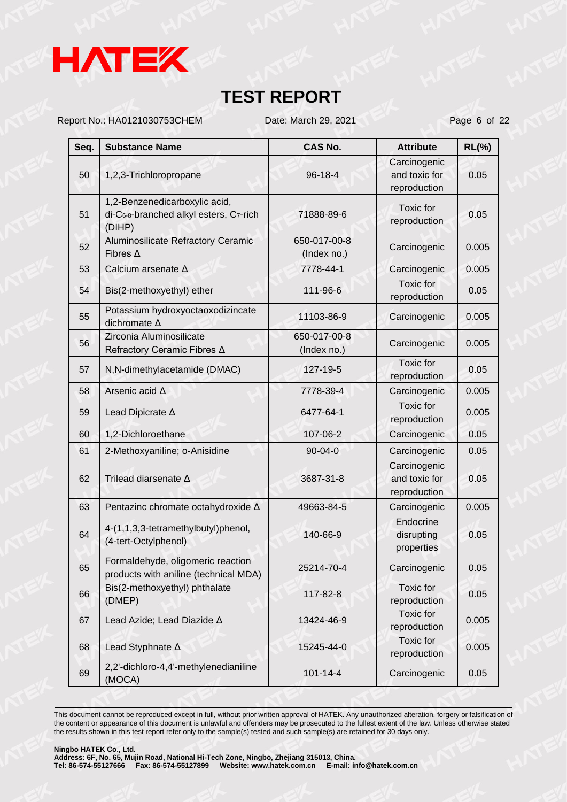

Report No.: HA0121030753CHEM Date: March 29, 2021 Page 6 of 22

| Seq. | <b>Substance Name</b>                                                             | <b>CAS No.</b>              | <b>Attribute</b>                              | $RL(\%)$ |
|------|-----------------------------------------------------------------------------------|-----------------------------|-----------------------------------------------|----------|
| 50   | 1,2,3-Trichloropropane                                                            | 96-18-4                     | Carcinogenic<br>and toxic for<br>reproduction | 0.05     |
| 51   | 1,2-Benzenedicarboxylic acid,<br>di-C6-8-branched alkyl esters, C7-rich<br>(DIHP) | 71888-89-6                  | Toxic for<br>reproduction                     | 0.05     |
| 52   | Aluminosilicate Refractory Ceramic<br>Fibres $\Delta$                             | 650-017-00-8<br>(Index no.) | Carcinogenic                                  | 0.005    |
| 53   | Calcium arsenate ∆                                                                | 7778-44-1                   | Carcinogenic                                  | 0.005    |
| 54   | Bis(2-methoxyethyl) ether                                                         | 111-96-6                    | Toxic for<br>reproduction                     | 0.05     |
| 55   | Potassium hydroxyoctaoxodizincate<br>dichromate A                                 | 11103-86-9                  | Carcinogenic                                  | 0.005    |
| 56   | Zirconia Aluminosilicate<br>Refractory Ceramic Fibres ∆                           | 650-017-00-8<br>(Index no.) | Carcinogenic                                  | 0.005    |
| 57   | N,N-dimethylacetamide (DMAC)                                                      | 127-19-5                    | Toxic for<br>reproduction                     | 0.05     |
| 58   | Arsenic acid A                                                                    | 7778-39-4                   | Carcinogenic                                  | 0.005    |
| 59   | Lead Dipicrate $\Delta$                                                           | 6477-64-1                   | <b>Toxic</b> for<br>reproduction              | 0.005    |
| 60   | 1,2-Dichloroethane                                                                | 107-06-2                    | Carcinogenic                                  | 0.05     |
| 61   | 2-Methoxyaniline; o-Anisidine                                                     | $90 - 04 - 0$               | Carcinogenic                                  | 0.05     |
| 62   | Trilead diarsenate A                                                              | 3687-31-8                   | Carcinogenic<br>and toxic for<br>reproduction | 0.05     |
| 63   | Pentazinc chromate octahydroxide A                                                | 49663-84-5                  | Carcinogenic                                  | 0.005    |
| 64   | 4-(1,1,3,3-tetramethylbutyl)phenol,<br>(4-tert-Octylphenol)                       | 140-66-9                    | Endocrine<br>disrupting<br>properties         | 0.05     |
| 65   | Formaldehyde, oligomeric reaction<br>products with aniline (technical MDA)        | 25214-70-4                  | Carcinogenic                                  | 0.05     |
| 66   | Bis(2-methoxyethyl) phthalate<br>(DMEP)                                           | 117-82-8                    | Toxic for<br>reproduction                     | 0.05     |
| 67   | Lead Azide; Lead Diazide A                                                        | 13424-46-9                  | Toxic for<br>reproduction                     | 0.005    |
| 68   | Lead Styphnate A                                                                  | 15245-44-0                  | <b>Toxic for</b><br>reproduction              | 0.005    |
| 69   | 2,2'-dichloro-4,4'-methylenedianiline<br>(MOCA)                                   | $101 - 14 - 4$              | Carcinogenic                                  | 0.05     |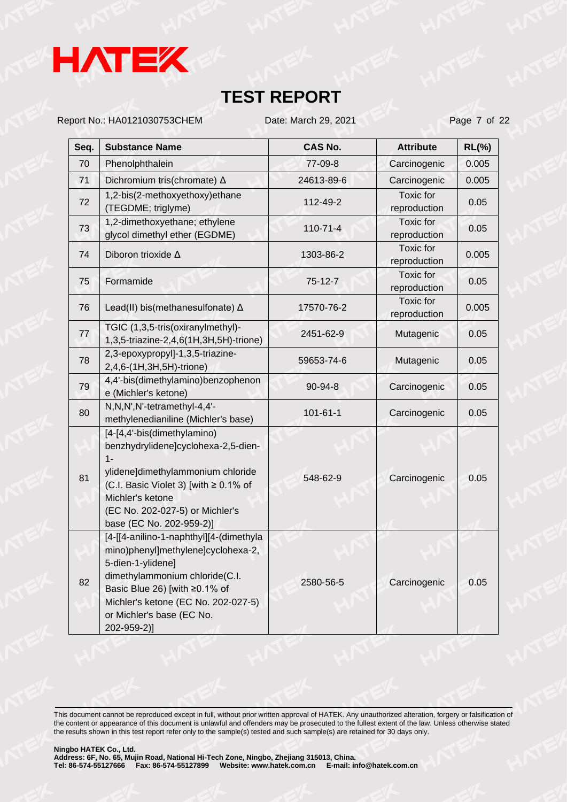

Report No.: HA0121030753CHEM Date: March 29, 2021 Page 7 of 22

| Seq. | <b>Substance Name</b>                                                                                                                                                                                                                                    | <b>CAS No.</b> | <b>Attribute</b>                 | $RL(\%)$ |
|------|----------------------------------------------------------------------------------------------------------------------------------------------------------------------------------------------------------------------------------------------------------|----------------|----------------------------------|----------|
| 70   | Phenolphthalein                                                                                                                                                                                                                                          | 77-09-8        | Carcinogenic                     | 0.005    |
| 71   | Dichromium tris(chromate) △                                                                                                                                                                                                                              | 24613-89-6     | Carcinogenic                     | 0.005    |
| 72   | 1,2-bis(2-methoxyethoxy)ethane<br>(TEGDME; triglyme)                                                                                                                                                                                                     | 112-49-2       | <b>Toxic</b> for<br>reproduction | 0.05     |
| 73   | 1,2-dimethoxyethane; ethylene<br>glycol dimethyl ether (EGDME)                                                                                                                                                                                           | 110-71-4       | <b>Toxic</b> for<br>reproduction | 0.05     |
| 74   | Diboron trioxide A                                                                                                                                                                                                                                       | 1303-86-2      | Toxic for<br>reproduction        | 0.005    |
| 75   | Formamide                                                                                                                                                                                                                                                | 75-12-7        | <b>Toxic</b> for<br>reproduction | 0.05     |
| 76   | Lead(II) bis(methanesulfonate) $\Delta$                                                                                                                                                                                                                  | 17570-76-2     | <b>Toxic</b> for<br>reproduction | 0.005    |
| 77   | TGIC (1,3,5-tris(oxiranylmethyl)-<br>1,3,5-triazine-2,4,6(1H,3H,5H)-trione)                                                                                                                                                                              | 2451-62-9      | Mutagenic                        | 0.05     |
| 78   | 2,3-epoxypropyl]-1,3,5-triazine-<br>2,4,6-(1H,3H,5H)-trione)                                                                                                                                                                                             | 59653-74-6     | Mutagenic                        | 0.05     |
| 79   | 4,4'-bis(dimethylamino)benzophenon<br>e (Michler's ketone)                                                                                                                                                                                               | 90-94-8        | Carcinogenic                     | 0.05     |
| 80   | N, N, N', N'-tetramethyl-4, 4'-<br>methylenedianiline (Michler's base)                                                                                                                                                                                   | $101 - 61 - 1$ | Carcinogenic                     | 0.05     |
| 81   | [4-[4,4'-bis(dimethylamino)<br>benzhydrylidene]cyclohexa-2,5-dien-<br>$1 -$<br>ylidene]dimethylammonium chloride<br>(C.I. Basic Violet 3) [with $\geq 0.1\%$ of<br>Michler's ketone<br>(EC No. 202-027-5) or Michler's<br>base (EC No. 202-959-2)]       | 548-62-9       | Carcinogenic                     | 0.05     |
| 82   | [4-[[4-anilino-1-naphthyl][4-(dimethyla<br>mino)phenyl]methylene]cyclohexa-2,<br>5-dien-1-ylidene]<br>dimethylammonium chloride(C.I.<br>Basic Blue 26) [with ≥0.1% of<br>Michler's ketone (EC No. 202-027-5)<br>or Michler's base (EC No.<br>202-959-2)] | 2580-56-5      | Carcinogenic                     | 0.05     |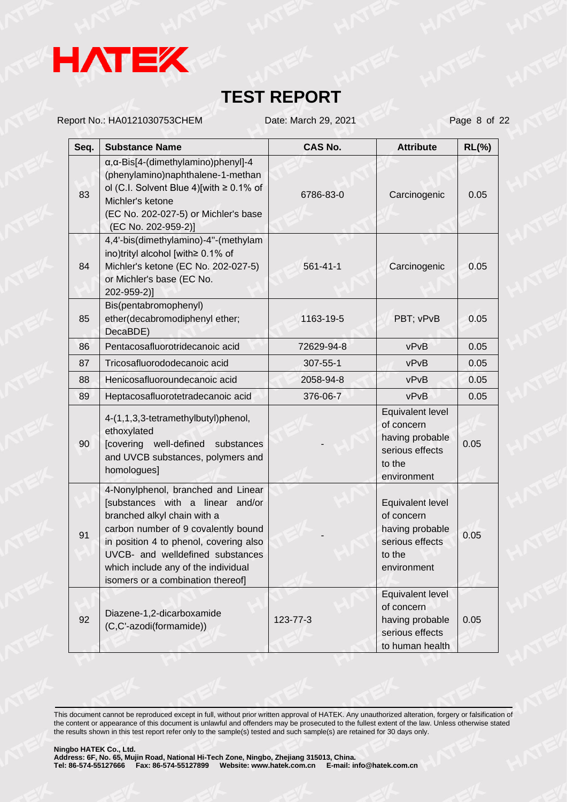

Report No.: HA0121030753CHEM Date: March 29, 2021 Page 8 of 22

| Seq. | <b>Substance Name</b>                                                                                                                                                                                                                                                                                  | <b>CAS No.</b> | <b>Attribute</b>                                                                              | $RL(\%)$ |
|------|--------------------------------------------------------------------------------------------------------------------------------------------------------------------------------------------------------------------------------------------------------------------------------------------------------|----------------|-----------------------------------------------------------------------------------------------|----------|
| 83   | $\alpha$ , $\alpha$ -Bis[4-(dimethylamino)phenyl]-4<br>(phenylamino)naphthalene-1-methan<br>ol (C.I. Solvent Blue 4)[with $\geq$ 0.1% of<br>Michler's ketone<br>(EC No. 202-027-5) or Michler's base<br>(EC No. 202-959-2)]                                                                            | 6786-83-0      | Carcinogenic                                                                                  | 0.05     |
| 84   | 4,4'-bis(dimethylamino)-4"-(methylam<br>ino)trityl alcohol [with≥ 0.1% of<br>Michler's ketone (EC No. 202-027-5)<br>or Michler's base (EC No.<br>202-959-2)]                                                                                                                                           | $561 - 41 - 1$ | Carcinogenic                                                                                  | 0.05     |
| 85   | Bis(pentabromophenyl)<br>ether(decabromodiphenyl ether;<br>DecaBDE)                                                                                                                                                                                                                                    | 1163-19-5      | PBT; vPvB                                                                                     | 0.05     |
| 86   | Pentacosafluorotridecanoic acid                                                                                                                                                                                                                                                                        | 72629-94-8     | vPvB                                                                                          | 0.05     |
| 87   | Tricosafluorododecanoic acid                                                                                                                                                                                                                                                                           | $307 - 55 - 1$ | vPvB                                                                                          | 0.05     |
| 88   | Henicosafluoroundecanoic acid                                                                                                                                                                                                                                                                          | 2058-94-8      | vPvB                                                                                          | 0.05     |
| 89   | Heptacosafluorotetradecanoic acid                                                                                                                                                                                                                                                                      | 376-06-7       | vPvB                                                                                          | 0.05     |
| 90   | 4-(1,1,3,3-tetramethylbutyl)phenol,<br>ethoxylated<br>[covering well-defined<br>substances<br>and UVCB substances, polymers and<br>homologues]                                                                                                                                                         |                | Equivalent level<br>of concern<br>having probable<br>serious effects<br>to the<br>environment | 0.05     |
| 91   | 4-Nonylphenol, branched and Linear<br>[substances with a linear and/or<br>branched alkyl chain with a<br>carbon number of 9 covalently bound<br>in position 4 to phenol, covering also<br>UVCB- and welldefined substances<br>which include any of the individual<br>isomers or a combination thereof] |                | Equivalent level<br>of concern<br>having probable<br>serious effects<br>to the<br>environment | 0.05     |
| 92   | Diazene-1,2-dicarboxamide<br>(C,C'-azodi(formamide))                                                                                                                                                                                                                                                   | 123-77-3       | Equivalent level<br>of concern<br>having probable<br>serious effects<br>to human health       | 0.05     |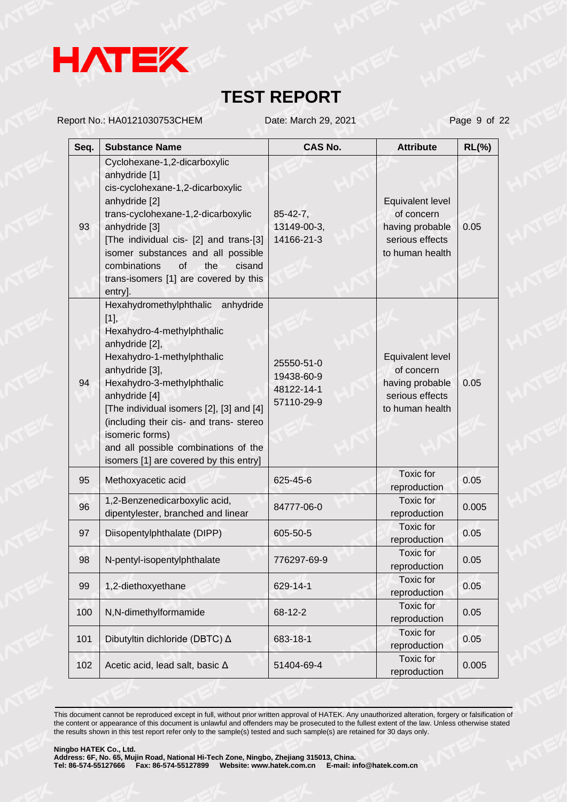

Report No.: HA0121030753CHEM Date: March 29, 2021 Page 9 of 22

| Seq. | <b>Substance Name</b>                                                                                                                                                                                                                                                                                                                                                                | <b>CAS No.</b>                                       | <b>Attribute</b>                                                                        | $RL(\%)$ |
|------|--------------------------------------------------------------------------------------------------------------------------------------------------------------------------------------------------------------------------------------------------------------------------------------------------------------------------------------------------------------------------------------|------------------------------------------------------|-----------------------------------------------------------------------------------------|----------|
| 93   | Cyclohexane-1,2-dicarboxylic<br>anhydride [1]<br>cis-cyclohexane-1,2-dicarboxylic<br>anhydride [2]<br>trans-cyclohexane-1,2-dicarboxylic<br>anhydride [3]<br>[The individual cis- [2] and trans-[3]<br>isomer substances and all possible<br>combinations<br>of<br>the<br>cisand<br>trans-isomers [1] are covered by this<br>entry].                                                 | $85 - 42 - 7$ ,<br>13149-00-3,<br>14166-21-3         | Equivalent level<br>of concern<br>having probable<br>serious effects<br>to human health | 0.05     |
| 94   | Hexahydromethylphthalic anhydride<br>[1],<br>Hexahydro-4-methylphthalic<br>anhydride [2],<br>Hexahydro-1-methylphthalic<br>anhydride [3],<br>Hexahydro-3-methylphthalic<br>anhydride [4]<br>[The individual isomers [2], [3] and [4]<br>(including their cis- and trans- stereo<br>isomeric forms)<br>and all possible combinations of the<br>isomers [1] are covered by this entry] | 25550-51-0<br>19438-60-9<br>48122-14-1<br>57110-29-9 | Equivalent level<br>of concern<br>having probable<br>serious effects<br>to human health | 0.05     |
| 95   | Methoxyacetic acid                                                                                                                                                                                                                                                                                                                                                                   | 625-45-6                                             | Toxic for<br>reproduction                                                               | 0.05     |
| 96   | 1,2-Benzenedicarboxylic acid,<br>dipentylester, branched and linear                                                                                                                                                                                                                                                                                                                  | 84777-06-0                                           | <b>Toxic for</b><br>reproduction                                                        | 0.005    |
| 97   | Diisopentylphthalate (DIPP)                                                                                                                                                                                                                                                                                                                                                          | 605-50-5                                             | Toxic for<br>reproduction                                                               | 0.05     |
| 98   | N-pentyl-isopentylphthalate                                                                                                                                                                                                                                                                                                                                                          | 776297-69-9                                          | Toxic for<br>reproduction                                                               | 0.05     |
| 99   | 1,2-diethoxyethane                                                                                                                                                                                                                                                                                                                                                                   | 629-14-1                                             | Toxic for<br>reproduction                                                               | 0.05     |
| 100  | N,N-dimethylformamide                                                                                                                                                                                                                                                                                                                                                                | 68-12-2                                              | Toxic for<br>reproduction                                                               | 0.05     |
| 101  | Dibutyltin dichloride (DBTC) △                                                                                                                                                                                                                                                                                                                                                       | 683-18-1                                             | Toxic for<br>reproduction                                                               | 0.05     |
| 102  | Acetic acid, lead salt, basic $\Delta$                                                                                                                                                                                                                                                                                                                                               | 51404-69-4                                           | Toxic for<br>reproduction                                                               | 0.005    |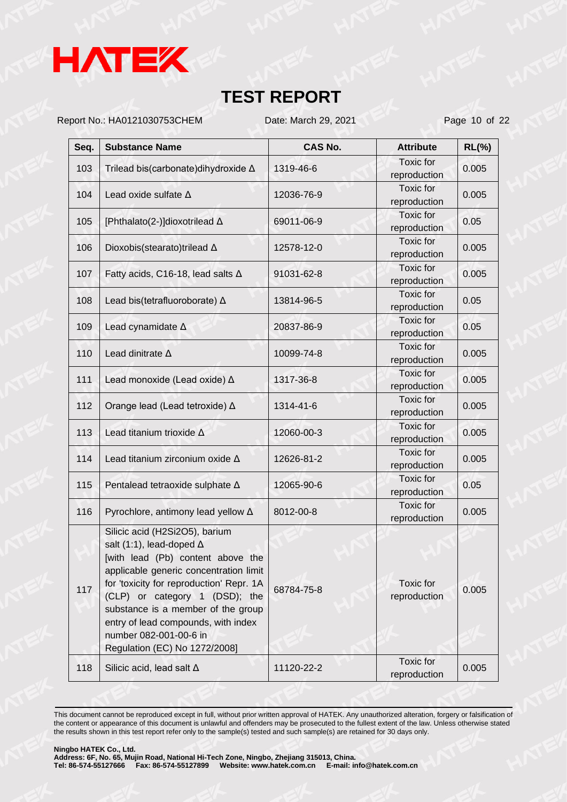

Report No.: HA0121030753CHEM Date: March 29, 2021 Page 10 of 22

| Seq. | <b>Substance Name</b>                                                                                                                                                                                                                                                                                                                                                  | <b>CAS No.</b> | <b>Attribute</b>                 | $RL(\%)$ |
|------|------------------------------------------------------------------------------------------------------------------------------------------------------------------------------------------------------------------------------------------------------------------------------------------------------------------------------------------------------------------------|----------------|----------------------------------|----------|
| 103  | Trilead bis(carbonate) dihydroxide A                                                                                                                                                                                                                                                                                                                                   | 1319-46-6      | <b>Toxic</b> for<br>reproduction | 0.005    |
| 104  | Lead oxide sulfate $\Delta$                                                                                                                                                                                                                                                                                                                                            | 12036-76-9     | <b>Toxic</b> for<br>reproduction | 0.005    |
| 105  | [Phthalato(2-)]dioxotrilead ∆                                                                                                                                                                                                                                                                                                                                          | 69011-06-9     | Toxic for<br>reproduction        | 0.05     |
| 106  | Dioxobis(stearato)trilead Δ                                                                                                                                                                                                                                                                                                                                            | 12578-12-0     | <b>Toxic</b> for<br>reproduction | 0.005    |
| 107  | Fatty acids, C16-18, lead salts $\Delta$                                                                                                                                                                                                                                                                                                                               | 91031-62-8     | <b>Toxic</b> for<br>reproduction | 0.005    |
| 108  | Lead bis(tetrafluoroborate) $\Delta$                                                                                                                                                                                                                                                                                                                                   | 13814-96-5     | <b>Toxic</b> for<br>reproduction | 0.05     |
| 109  | Lead cynamidate $\Delta$                                                                                                                                                                                                                                                                                                                                               | 20837-86-9     | <b>Toxic</b> for<br>reproduction | 0.05     |
| 110  | Lead dinitrate $\Delta$                                                                                                                                                                                                                                                                                                                                                | 10099-74-8     | <b>Toxic</b> for<br>reproduction | 0.005    |
| 111  | Lead monoxide (Lead oxide) $\Delta$                                                                                                                                                                                                                                                                                                                                    | 1317-36-8      | Toxic for<br>reproduction        | 0.005    |
| 112  | Orange lead (Lead tetroxide) ∆                                                                                                                                                                                                                                                                                                                                         | 1314-41-6      | <b>Toxic</b> for<br>reproduction | 0.005    |
| 113  | Lead titanium trioxide $\Delta$                                                                                                                                                                                                                                                                                                                                        | 12060-00-3     | Toxic for<br>reproduction        | 0.005    |
| 114  | Lead titanium zirconium oxide $\Delta$                                                                                                                                                                                                                                                                                                                                 | 12626-81-2     | <b>Toxic</b> for<br>reproduction | 0.005    |
| 115  | Pentalead tetraoxide sulphate A                                                                                                                                                                                                                                                                                                                                        | 12065-90-6     | Toxic for<br>reproduction        | 0.05     |
| 116  | Pyrochlore, antimony lead yellow $\Delta$                                                                                                                                                                                                                                                                                                                              | 8012-00-8      | <b>Toxic</b> for<br>reproduction | 0.005    |
| 117  | Silicic acid (H2Si2O5), barium<br>salt (1:1), lead-doped $\Delta$<br>[with lead (Pb) content above the<br>applicable generic concentration limit<br>for 'toxicity for reproduction' Repr. 1A<br>(CLP) or category 1 (DSD); the<br>substance is a member of the group<br>entry of lead compounds, with index<br>number 082-001-00-6 in<br>Regulation (EC) No 1272/2008] | 68784-75-8     | Toxic for<br>reproduction        | 0.005    |
| 118  | Silicic acid, lead salt $\Delta$                                                                                                                                                                                                                                                                                                                                       | 11120-22-2     | <b>Toxic</b> for<br>reproduction | 0.005    |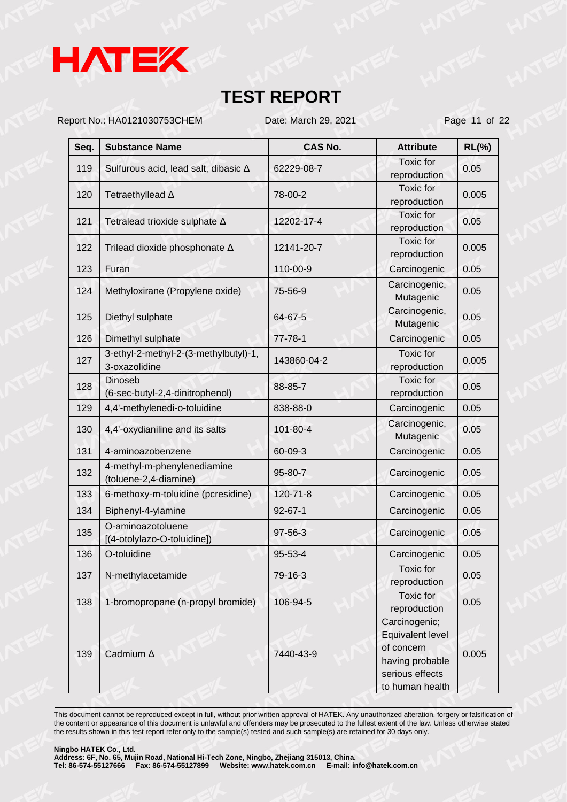

Report No.: HA0121030753CHEM Date: March 29, 2021 Page 11 of 22

| Seq. | <b>Substance Name</b>                                  | <b>CAS No.</b> | <b>Attribute</b>                                                                                         | $RL(\%)$ |
|------|--------------------------------------------------------|----------------|----------------------------------------------------------------------------------------------------------|----------|
| 119  | Sulfurous acid, lead salt, dibasic ∆                   | 62229-08-7     | <b>Toxic</b> for<br>reproduction                                                                         | 0.05     |
| 120  | Tetraethyllead A                                       | 78-00-2        | <b>Toxic</b> for<br>reproduction                                                                         | 0.005    |
| 121  | Tetralead trioxide sulphate $\Delta$                   | 12202-17-4     | Toxic for<br>reproduction                                                                                | 0.05     |
| 122  | Trilead dioxide phosphonate A                          | 12141-20-7     | <b>Toxic</b> for<br>reproduction                                                                         | 0.005    |
| 123  | Furan                                                  | 110-00-9       | Carcinogenic                                                                                             | 0.05     |
| 124  | Methyloxirane (Propylene oxide)                        | 75-56-9        | Carcinogenic,<br>Mutagenic                                                                               | 0.05     |
| 125  | Diethyl sulphate                                       | 64-67-5        | Carcinogenic,<br>Mutagenic                                                                               | 0.05     |
| 126  | Dimethyl sulphate                                      | $77 - 78 - 1$  | Carcinogenic                                                                                             | 0.05     |
| 127  | 3-ethyl-2-methyl-2-(3-methylbutyl)-1,<br>3-oxazolidine | 143860-04-2    | <b>Toxic</b> for<br>reproduction                                                                         | 0.005    |
| 128  | <b>Dinoseb</b><br>(6-sec-butyl-2,4-dinitrophenol)      | 88-85-7        | <b>Toxic</b> for<br>reproduction                                                                         | 0.05     |
| 129  | 4,4'-methylenedi-o-toluidine                           | 838-88-0       | Carcinogenic                                                                                             | 0.05     |
| 130  | 4,4'-oxydianiline and its salts                        | 101-80-4       | Carcinogenic,<br>Mutagenic                                                                               | 0.05     |
| 131  | 4-aminoazobenzene                                      | 60-09-3        | Carcinogenic                                                                                             | 0.05     |
| 132  | 4-methyl-m-phenylenediamine<br>(toluene-2,4-diamine)   | 95-80-7        | Carcinogenic                                                                                             | 0.05     |
| 133  | 6-methoxy-m-toluidine (pcresidine)                     | $120 - 71 - 8$ | Carcinogenic                                                                                             | 0.05     |
| 134  | Biphenyl-4-ylamine                                     | $92 - 67 - 1$  | Carcinogenic                                                                                             | 0.05     |
| 135  | O-aminoazotoluene<br>[(4-otolylazo-O-toluidine])       | 97-56-3        | Carcinogenic                                                                                             | 0.05     |
| 136  | O-toluidine                                            | 95-53-4        | Carcinogenic                                                                                             | 0.05     |
| 137  | N-methylacetamide                                      | 79-16-3        | Toxic for<br>reproduction                                                                                | 0.05     |
| 138  | 1-bromopropane (n-propyl bromide)                      | 106-94-5       | Toxic for<br>reproduction                                                                                | 0.05     |
| 139  | Cadmium A                                              | 7440-43-9      | Carcinogenic;<br>Equivalent level<br>of concern<br>having probable<br>serious effects<br>to human health | 0.005    |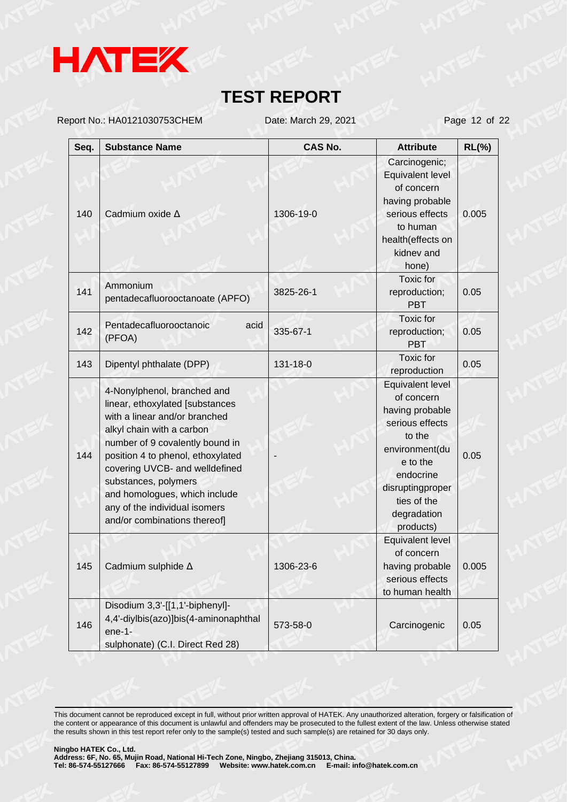

Report No.: HA0121030753CHEM Date: March 29, 2021 Page 12 of 22

| Seq. | <b>Substance Name</b>                                                                                                                                                                                                                                                                                                                                            | <b>CAS No.</b> | <b>Attribute</b>                                                                                                                                                                         | $RL(\%)$ |
|------|------------------------------------------------------------------------------------------------------------------------------------------------------------------------------------------------------------------------------------------------------------------------------------------------------------------------------------------------------------------|----------------|------------------------------------------------------------------------------------------------------------------------------------------------------------------------------------------|----------|
| 140  | Cadmium oxide A                                                                                                                                                                                                                                                                                                                                                  | 1306-19-0      | Carcinogenic;<br>Equivalent level<br>of concern<br>having probable<br>serious effects<br>to human<br>health(effects on<br>kidnev and<br>hone)                                            | 0.005    |
| 141  | Ammonium<br>pentadecafluorooctanoate (APFO)                                                                                                                                                                                                                                                                                                                      | 3825-26-1      | Toxic for<br>reproduction;<br><b>PBT</b>                                                                                                                                                 | 0.05     |
| 142  | Pentadecafluorooctanoic<br>acid<br>(PFOA)                                                                                                                                                                                                                                                                                                                        | 335-67-1       | <b>Toxic</b> for<br>reproduction;<br><b>PBT</b>                                                                                                                                          | 0.05     |
| 143  | Dipentyl phthalate (DPP)                                                                                                                                                                                                                                                                                                                                         | 131-18-0       | <b>Toxic</b> for<br>reproduction                                                                                                                                                         | 0.05     |
| 144  | 4-Nonylphenol, branched and<br>linear, ethoxylated [substances<br>with a linear and/or branched<br>alkyl chain with a carbon<br>number of 9 covalently bound in<br>position 4 to phenol, ethoxylated<br>covering UVCB- and welldefined<br>substances, polymers<br>and homologues, which include<br>any of the individual isomers<br>and/or combinations thereof] |                | Equivalent level<br>of concern<br>having probable<br>serious effects<br>to the<br>environment(du<br>e to the<br>endocrine<br>disruptingproper<br>ties of the<br>degradation<br>products) | 0.05     |
| 145  | Cadmium sulphide $\Delta$                                                                                                                                                                                                                                                                                                                                        | 1306-23-6      | Equivalent level<br>of concern<br>having probable<br>serious effects<br>to human health                                                                                                  | 0.005    |
| 146  | Disodium 3,3'-[[1,1'-biphenyl]-<br>4,4'-diylbis(azo)]bis(4-aminonaphthal<br>$ene-1-$<br>sulphonate) (C.I. Direct Red 28)                                                                                                                                                                                                                                         | 573-58-0       | Carcinogenic                                                                                                                                                                             | 0.05     |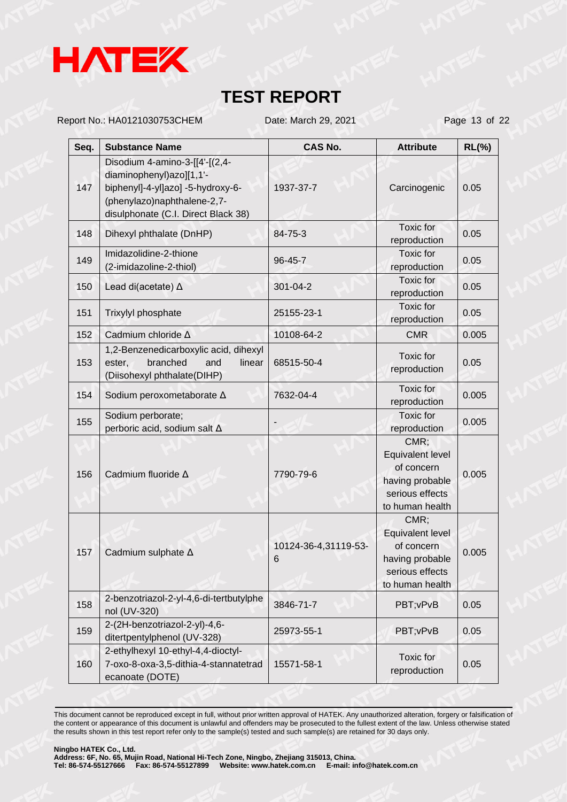

Report No.: HA0121030753CHEM Date: March 29, 2021 Page 13 of 22

| Seq. | <b>Substance Name</b>                                                                                                                                                 | <b>CAS No.</b>            | <b>Attribute</b>                                                                                | $RL(\%)$ |
|------|-----------------------------------------------------------------------------------------------------------------------------------------------------------------------|---------------------------|-------------------------------------------------------------------------------------------------|----------|
| 147  | Disodium 4-amino-3-[[4'-[(2,4-<br>diaminophenyl)azo][1,1'-<br>biphenyl]-4-yl]azo] -5-hydroxy-6-<br>(phenylazo)naphthalene-2,7-<br>disulphonate (C.I. Direct Black 38) | 1937-37-7                 | Carcinogenic                                                                                    | 0.05     |
| 148  | Dihexyl phthalate (DnHP)                                                                                                                                              | 84-75-3                   | Toxic for<br>reproduction                                                                       | 0.05     |
| 149  | Imidazolidine-2-thione<br>(2-imidazoline-2-thiol)                                                                                                                     | 96-45-7                   | Toxic for<br>reproduction                                                                       | 0.05     |
| 150  | Lead di(acetate) $\Delta$                                                                                                                                             | $301 - 04 - 2$            | Toxic for<br>reproduction                                                                       | 0.05     |
| 151  | Trixylyl phosphate                                                                                                                                                    | 25155-23-1                | Toxic for<br>reproduction                                                                       | 0.05     |
| 152  | Cadmium chloride A                                                                                                                                                    | 10108-64-2                | <b>CMR</b>                                                                                      | 0.005    |
| 153  | 1,2-Benzenedicarboxylic acid, dihexyl<br>branched<br>ester,<br>and<br>linear<br>(Diisohexyl phthalate(DIHP)                                                           | 68515-50-4                | Toxic for<br>reproduction                                                                       | 0.05     |
| 154  | Sodium peroxometaborate A                                                                                                                                             | 7632-04-4                 | Toxic for<br>reproduction                                                                       | 0.005    |
| 155  | Sodium perborate;<br>perboric acid, sodium salt $\Delta$                                                                                                              |                           | Toxic for<br>reproduction                                                                       | 0.005    |
| 156  | Cadmium fluoride A                                                                                                                                                    | 7790-79-6                 | CMR;<br>Equivalent level<br>of concern<br>having probable<br>serious effects<br>to human health | 0.005    |
| 157  | Cadmium sulphate A                                                                                                                                                    | 10124-36-4,31119-53-<br>6 | CMR;<br>Equivalent level<br>of concern<br>having probable<br>serious effects<br>to human health | 0.005    |
| 158  | 2-benzotriazol-2-yl-4,6-di-tertbutylphe<br>nol (UV-320)                                                                                                               | 3846-71-7                 | PBT; vPvB                                                                                       | 0.05     |
| 159  | 2-(2H-benzotriazol-2-yl)-4,6-<br>ditertpentylphenol (UV-328)                                                                                                          | 25973-55-1                | PBT; vPvB                                                                                       | 0.05     |
| 160  | 2-ethylhexyl 10-ethyl-4,4-dioctyl-<br>7-oxo-8-oxa-3,5-dithia-4-stannatetrad<br>ecanoate (DOTE)                                                                        | 15571-58-1                | Toxic for<br>reproduction                                                                       | 0.05     |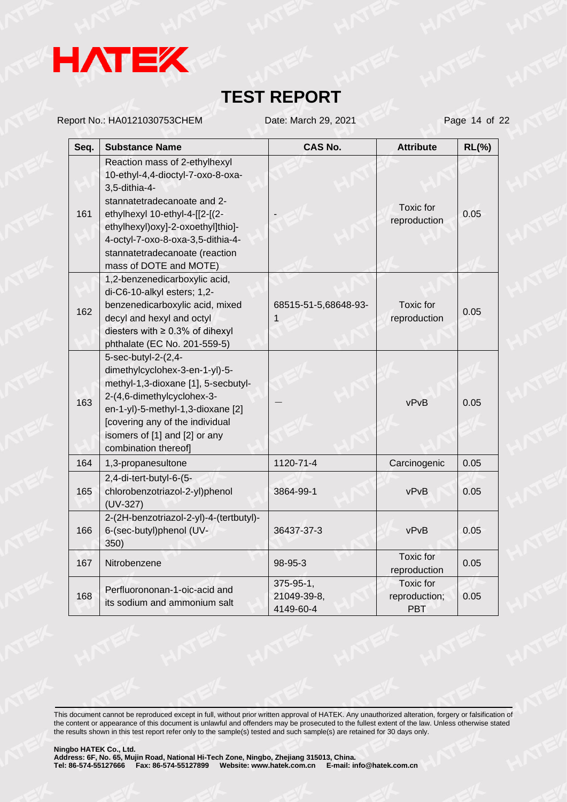

Report No.: HA0121030753CHEM Date: March 29, 2021 Page 14 of 22

| Seq. | <b>Substance Name</b>                                                                                                                                                                                                                                                                      | CAS No.                               | <b>Attribute</b>                                | $RL(\%)$ |
|------|--------------------------------------------------------------------------------------------------------------------------------------------------------------------------------------------------------------------------------------------------------------------------------------------|---------------------------------------|-------------------------------------------------|----------|
| 161  | Reaction mass of 2-ethylhexyl<br>10-ethyl-4,4-dioctyl-7-oxo-8-oxa-<br>3,5-dithia-4-<br>stannatetradecanoate and 2-<br>ethylhexyl 10-ethyl-4-[[2-[(2-<br>ethylhexyl)oxy]-2-oxoethyl]thio]-<br>4-octyl-7-oxo-8-oxa-3,5-dithia-4-<br>stannatetradecanoate (reaction<br>mass of DOTE and MOTE) |                                       | Toxic for<br>reproduction                       | 0.05     |
| 162  | 1,2-benzenedicarboxylic acid,<br>di-C6-10-alkyl esters; 1,2-<br>benzenedicarboxylic acid, mixed<br>decyl and hexyl and octyl<br>diesters with $\geq 0.3\%$ of dihexyl<br>phthalate (EC No. 201-559-5)                                                                                      | 68515-51-5,68648-93-<br>1             | Toxic for<br>reproduction                       | 0.05     |
| 163  | 5-sec-butyl-2-(2,4-<br>dimethylcyclohex-3-en-1-yl)-5-<br>methyl-1,3-dioxane [1], 5-secbutyl-<br>2-(4,6-dimethylcyclohex-3-<br>en-1-yl)-5-methyl-1,3-dioxane [2]<br>[covering any of the individual<br>isomers of [1] and [2] or any<br>combination thereof]                                |                                       | vPvB                                            | 0.05     |
| 164  | 1,3-propanesultone                                                                                                                                                                                                                                                                         | 1120-71-4                             | Carcinogenic                                    | 0.05     |
| 165  | 2,4-di-tert-butyl-6-(5-<br>chlorobenzotriazol-2-yl)phenol<br>$(UV-327)$                                                                                                                                                                                                                    | 3864-99-1                             | vPvB                                            | 0.05     |
| 166  | 2-(2H-benzotriazol-2-yl)-4-(tertbutyl)-<br>6-(sec-butyl)phenol (UV-<br>350)                                                                                                                                                                                                                | 36437-37-3                            | vPvB                                            | 0.05     |
| 167  | Nitrobenzene                                                                                                                                                                                                                                                                               | 98-95-3                               | <b>Toxic</b> for<br>reproduction                | 0.05     |
| 168  | Perfluorononan-1-oic-acid and<br>its sodium and ammonium salt                                                                                                                                                                                                                              | 375-95-1,<br>21049-39-8,<br>4149-60-4 | <b>Toxic for</b><br>reproduction;<br><b>PBT</b> | 0.05     |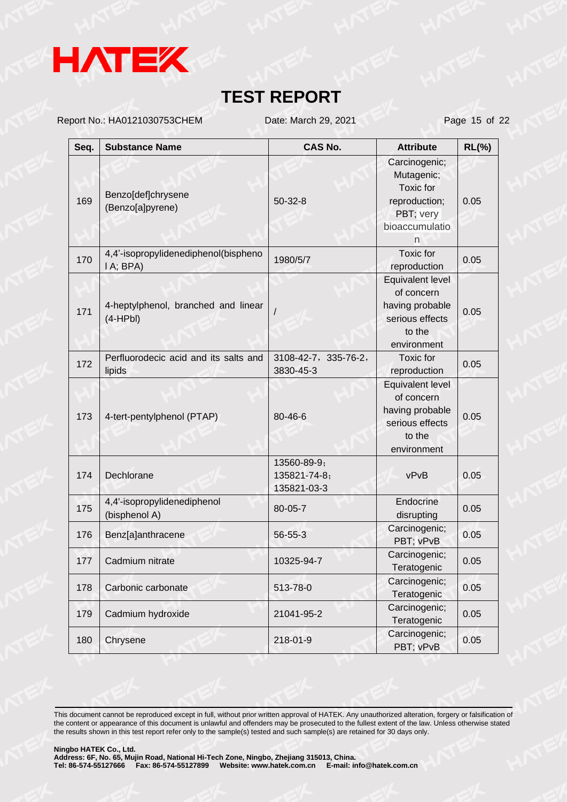

Report No.: HA0121030753CHEM Date: March 29, 2021 Page 15 of 22

| Seq. | <b>Substance Name</b>                             | <b>CAS No.</b>                             | <b>Attribute</b>                                                                                     | $RL(\%)$ |
|------|---------------------------------------------------|--------------------------------------------|------------------------------------------------------------------------------------------------------|----------|
| 169  | Benzo[def]chrysene<br>(Benzo[a]pyrene)            | $50 - 32 - 8$                              | Carcinogenic;<br>Mutagenic;<br><b>Toxic</b> for<br>reproduction;<br>PBT; very<br>bioaccumulatio<br>n | 0.05     |
| 170  | 4,4'-isopropylidenediphenol(bispheno<br>I A; BPA) | 1980/5/7                                   | <b>Toxic</b> for<br>reproduction                                                                     | 0.05     |
| 171  | 4-heptylphenol, branched and linear<br>$(4-HPbl)$ |                                            | Equivalent level<br>of concern<br>having probable<br>serious effects<br>to the<br>environment        | 0.05     |
| 172  | Perfluorodecic acid and its salts and<br>lipids   | 3108-42-7, 335-76-2,<br>3830-45-3          | Toxic for<br>reproduction                                                                            | 0.05     |
| 173  | 4-tert-pentylphenol (PTAP)                        | 80-46-6                                    | Equivalent level<br>of concern<br>having probable<br>serious effects<br>to the<br>environment        | 0.05     |
| 174  | Dechlorane                                        | 13560-89-9;<br>135821-74-8;<br>135821-03-3 | vPvB                                                                                                 | 0.05     |
| 175  | 4,4'-isopropylidenediphenol<br>(bisphenol A)      | 80-05-7                                    | Endocrine<br>disrupting                                                                              | 0.05     |
| 176  | Benz[a]anthracene                                 | 56-55-3                                    | Carcinogenic;<br>PBT; vPvB                                                                           | 0.05     |
| 177  | Cadmium nitrate                                   | 10325-94-7                                 | Carcinogenic;<br>Teratogenic                                                                         | 0.05     |
| 178  | Carbonic carbonate                                | 513-78-0                                   | Carcinogenic;<br>Teratogenic                                                                         | 0.05     |
| 179  | Cadmium hydroxide                                 | 21041-95-2                                 | Carcinogenic;<br>Teratogenic                                                                         | 0.05     |
| 180  | Chrysene                                          | 218-01-9                                   | Carcinogenic;<br>PBT; vPvB                                                                           | 0.05     |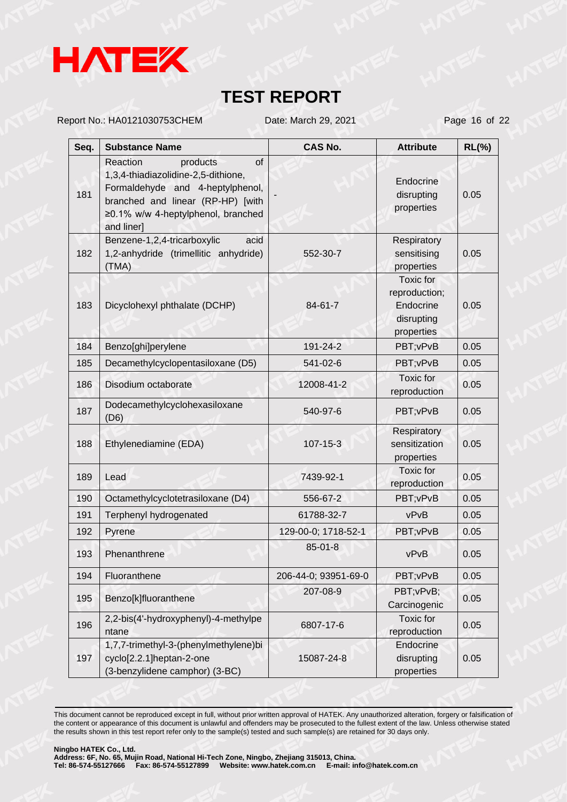

Report No.: HA0121030753CHEM Date: March 29, 2021 Page 16 of 22

| Seq. | <b>Substance Name</b>                                                                                                                                                                          | <b>CAS No.</b>       | <b>Attribute</b>                                                    | $RL(\%)$ |
|------|------------------------------------------------------------------------------------------------------------------------------------------------------------------------------------------------|----------------------|---------------------------------------------------------------------|----------|
| 181  | of<br>Reaction<br>products<br>1,3,4-thiadiazolidine-2,5-dithione,<br>Formaldehyde and 4-heptylphenol,<br>branched and linear (RP-HP) [with<br>≥0.1% w/w 4-heptylphenol, branched<br>and liner] |                      | Endocrine<br>disrupting<br>properties                               | 0.05     |
| 182  | Benzene-1,2,4-tricarboxylic<br>acid<br>1,2-anhydride (trimellitic anhydride)<br>(TMA)                                                                                                          | 552-30-7             | Respiratory<br>sensitising<br>properties                            | 0.05     |
| 183  | Dicyclohexyl phthalate (DCHP)                                                                                                                                                                  | 84-61-7              | Toxic for<br>reproduction;<br>Endocrine<br>disrupting<br>properties | 0.05     |
| 184  | Benzo[ghi]perylene                                                                                                                                                                             | 191-24-2             | PBT; vPvB                                                           | 0.05     |
| 185  | Decamethylcyclopentasiloxane (D5)                                                                                                                                                              | 541-02-6             | PBT; vPvB                                                           | 0.05     |
| 186  | Disodium octaborate                                                                                                                                                                            | 12008-41-2           | <b>Toxic</b> for<br>reproduction                                    | 0.05     |
| 187  | Dodecamethylcyclohexasiloxane<br>(D6)                                                                                                                                                          | 540-97-6             | PBT; vPvB                                                           | 0.05     |
| 188  | Ethylenediamine (EDA)                                                                                                                                                                          | 107-15-3             | <b>Respiratory</b><br>sensitization<br>properties                   | 0.05     |
| 189  | Lead                                                                                                                                                                                           | 7439-92-1            | Toxic for<br>reproduction                                           | 0.05     |
| 190  | Octamethylcyclotetrasiloxane (D4)                                                                                                                                                              | 556-67-2             | PBT; vPvB                                                           | 0.05     |
| 191  | Terphenyl hydrogenated                                                                                                                                                                         | 61788-32-7           | vPvB                                                                | 0.05     |
| 192  | Pyrene                                                                                                                                                                                         | 129-00-0; 1718-52-1  | PBT; vPvB                                                           | 0.05     |
| 193  | Phenanthrene                                                                                                                                                                                   | $85 - 01 - 8$        | vPvB                                                                | 0.05     |
| 194  | Fluoranthene                                                                                                                                                                                   | 206-44-0; 93951-69-0 | PBT; vPvB                                                           | 0.05     |
| 195  | Benzo[k]fluoranthene                                                                                                                                                                           | 207-08-9             | PBT; vPvB;<br>Carcinogenic                                          | 0.05     |
| 196  | 2,2-bis(4'-hydroxyphenyl)-4-methylpe<br>ntane                                                                                                                                                  | 6807-17-6            | Toxic for<br>reproduction                                           | 0.05     |
| 197  | 1,7,7-trimethyl-3-(phenylmethylene)bi<br>cyclo[2.2.1]heptan-2-one<br>(3-benzylidene camphor) (3-BC)                                                                                            | 15087-24-8           | Endocrine<br>disrupting<br>properties                               | 0.05     |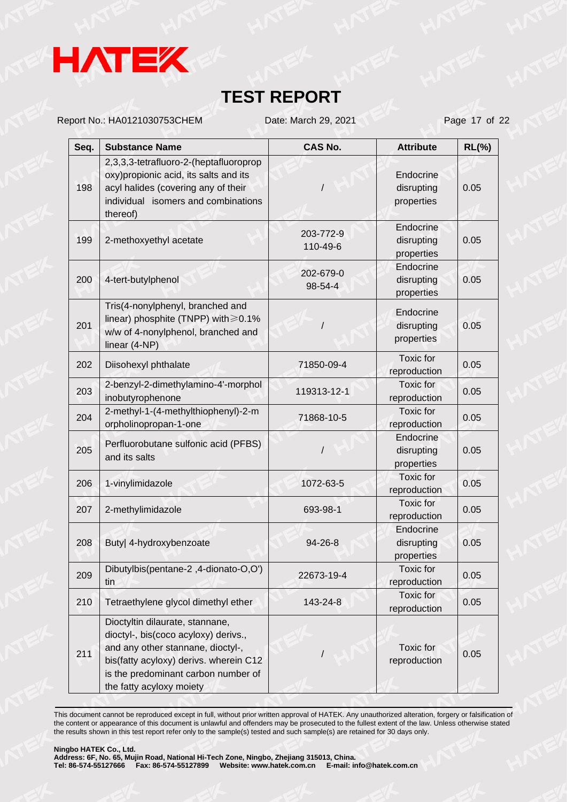

Report No.: HA0121030753CHEM Date: March 29, 2021 Page 17 of 22

| Seq. | <b>Substance Name</b>                                                                                                                                                                                                     | <b>CAS No.</b>        | <b>Attribute</b>                      | $RL(\%)$ |
|------|---------------------------------------------------------------------------------------------------------------------------------------------------------------------------------------------------------------------------|-----------------------|---------------------------------------|----------|
| 198  | 2,3,3,3-tetrafluoro-2-(heptafluoroprop<br>oxy) propionic acid, its salts and its<br>acyl halides (covering any of their<br>individual isomers and combinations<br>thereof)                                                |                       | Endocrine<br>disrupting<br>properties | 0.05     |
| 199  | 2-methoxyethyl acetate                                                                                                                                                                                                    | 203-772-9<br>110-49-6 | Endocrine<br>disrupting<br>properties | 0.05     |
| 200  | 4-tert-butylphenol                                                                                                                                                                                                        | 202-679-0<br>98-54-4  | Endocrine<br>disrupting<br>properties | 0.05     |
| 201  | Tris(4-nonylphenyl, branched and<br>linear) phosphite (TNPP) with ≥0.1%<br>w/w of 4-nonylphenol, branched and<br>linear (4-NP)                                                                                            |                       | Endocrine<br>disrupting<br>properties | 0.05     |
| 202  | Diisohexyl phthalate                                                                                                                                                                                                      | 71850-09-4            | Toxic for<br>reproduction             | 0.05     |
| 203  | 2-benzyl-2-dimethylamino-4'-morphol<br>inobutyrophenone                                                                                                                                                                   | 119313-12-1           | Toxic for<br>reproduction             | 0.05     |
| 204  | 2-methyl-1-(4-methylthiophenyl)-2-m<br>orpholinopropan-1-one                                                                                                                                                              | 71868-10-5            | Toxic for<br>reproduction             | 0.05     |
| 205  | Perfluorobutane sulfonic acid (PFBS)<br>and its salts                                                                                                                                                                     |                       | Endocrine<br>disrupting<br>properties | 0.05     |
| 206  | 1-vinylimidazole                                                                                                                                                                                                          | 1072-63-5             | Toxic for<br>reproduction             | 0.05     |
| 207  | 2-methylimidazole                                                                                                                                                                                                         | 693-98-1              | <b>Toxic</b> for<br>reproduction      | 0.05     |
| 208  | Buty  4-hydroxybenzoate                                                                                                                                                                                                   | $94 - 26 - 8$         | Endocrine<br>disrupting<br>properties | 0.05     |
| 209  | Dibutylbis(pentane-2,4-dionato-O,O')<br>tin                                                                                                                                                                               | 22673-19-4            | Toxic for<br>reproduction             | 0.05     |
| 210  | Tetraethylene glycol dimethyl ether                                                                                                                                                                                       | 143-24-8              | Toxic for<br>reproduction             | 0.05     |
| 211  | Dioctyltin dilaurate, stannane,<br>dioctyl-, bis(coco acyloxy) derivs.,<br>and any other stannane, dioctyl-,<br>bis(fatty acyloxy) derivs. wherein C12<br>is the predominant carbon number of<br>the fatty acyloxy moiety |                       | Toxic for<br>reproduction             | 0.05     |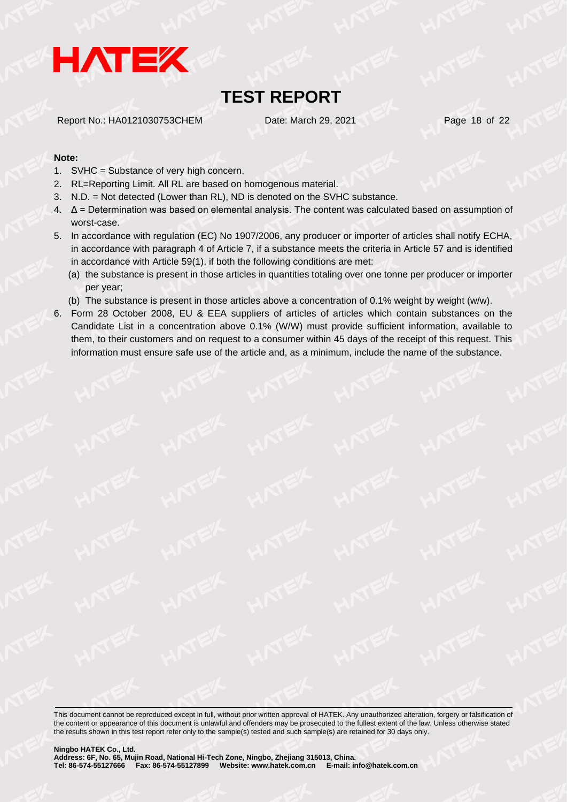

Report No.: HA0121030753CHEM Date: March 29, 2021 Page 18 of 22

#### **Note:**

- 1. SVHC = Substance of very high concern.
- 2. RL=Reporting Limit. All RL are based on homogenous material.
- 3. N.D. = Not detected (Lower than RL), ND is denoted on the SVHC substance.
- 4. Δ = Determination was based on elemental analysis. The content was calculated based on assumption of worst-case.
- 5. In accordance with regulation (EC) No 1907/2006, any producer or importer of articles shall notify ECHA, in accordance with paragraph 4 of Article 7, if a substance meets the criteria in Article 57 and is identified in accordance with Article 59(1), if both the following conditions are met:
	- (a) the substance is present in those articles in quantities totaling over one tonne per producer or importer per year;
	- (b) The substance is present in those articles above a concentration of 0.1% weight by weight (w/w).
- 6. Form 28 October 2008, EU & EEA suppliers of articles of articles which contain substances on the Candidate List in a concentration above 0.1% (W/W) must provide sufficient information, available to them, to their customers and on request to a consumer within 45 days of the receipt of this request. This information must ensure safe use of the article and, as a minimum, include the name of the substance.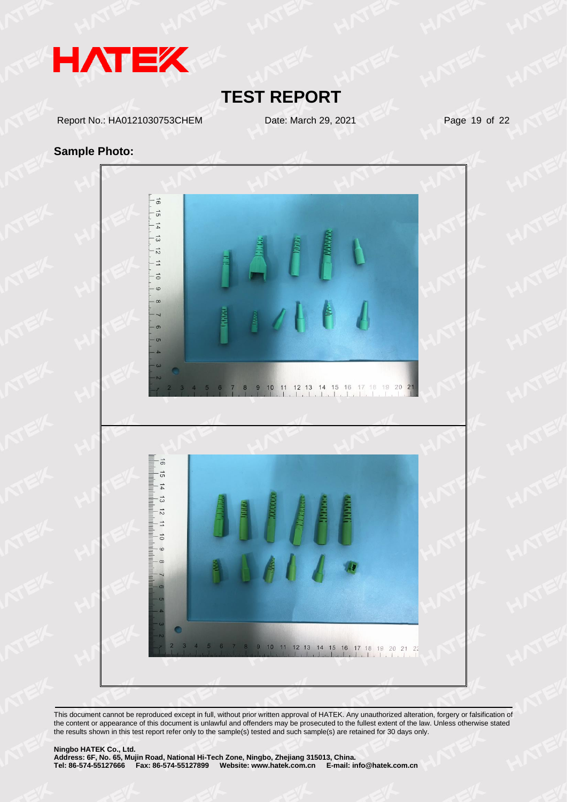

Report No.: HA0121030753CHEM Date: March 29, 2021 Page 19 of 22

#### **Sample Photo:**

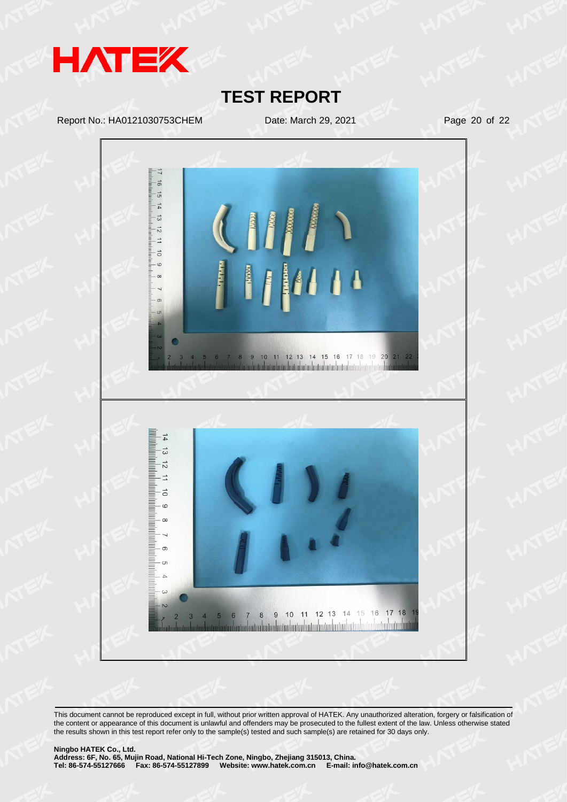

Report No.: HA0121030753CHEM Date: March 29, 2021 Page 20 of 22

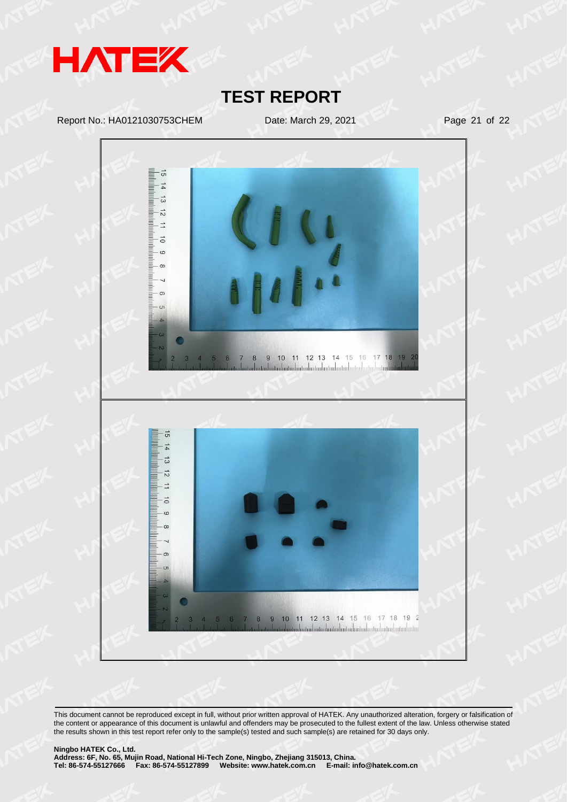

Report No.: HA0121030753CHEM Date: March 29, 2021 Page 21 of 22